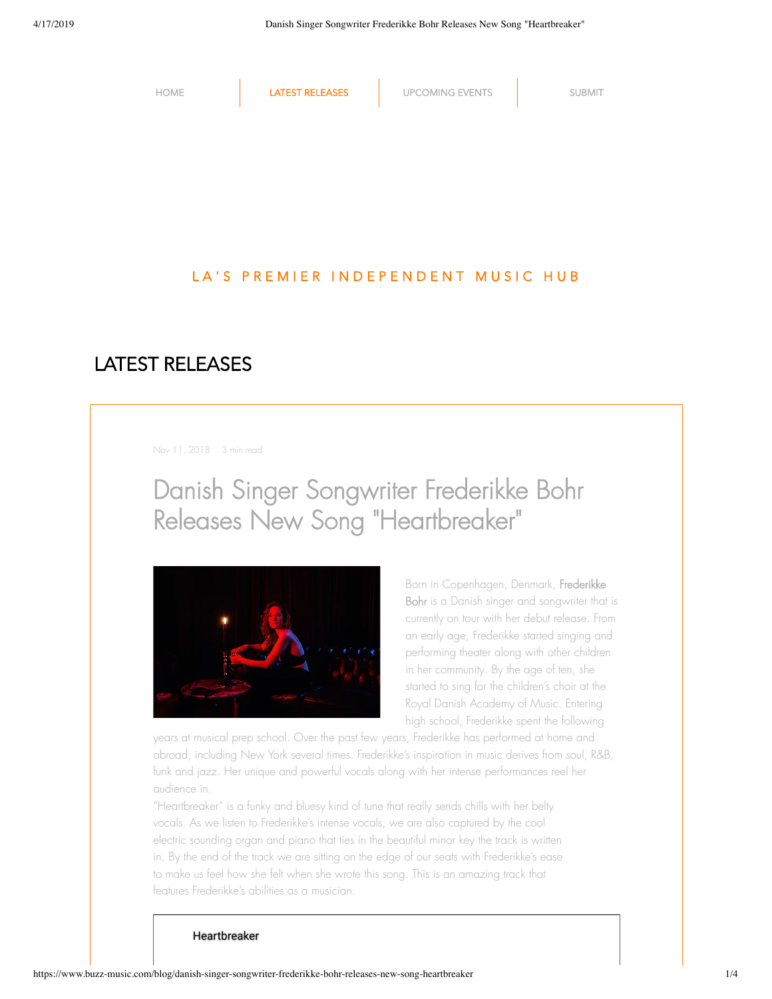

## LATEST RELEASES

Nov 11, 2018 3 min read

# Danish Singer Songwriter Frederikke Bohr Releases New Song "Heartbreaker "



Born in Copenhagen, Denmark, Frederikke Bohr is a Danish singer and songwriter that is currently on tour with her debut release. From an early age, Frederikke started singing and performing theater along with other children in her community. By the age of ten, she started to sing for the children's choir at the Royal Danish Academy of Music. Entering high school, Frederikke spent the following

years at musical prep school. Over the past few years, Frederikke has performed at home and abroad, including New York several times. Frederikke's inspiration in music derives from soul, R&B, funk and jazz. Her unique and powerful vocals along with her intense performances reel her audience in.

"Heartbreaker" is a funky and bluesy kind of tune that really sends chills with her belty vocals. As we listen to Frederikke's intense vocals, we are also captured by the cool electric sounding organ and piano that ties in the beautiful minor key the track is written in. By the end of the track we are sitting on the edge of our seats with Frederikke's ease to make us feel how she felt when she wrote this song. This is an amazing track that features Frederikke's abilities as a musician.

#### Heartbreaker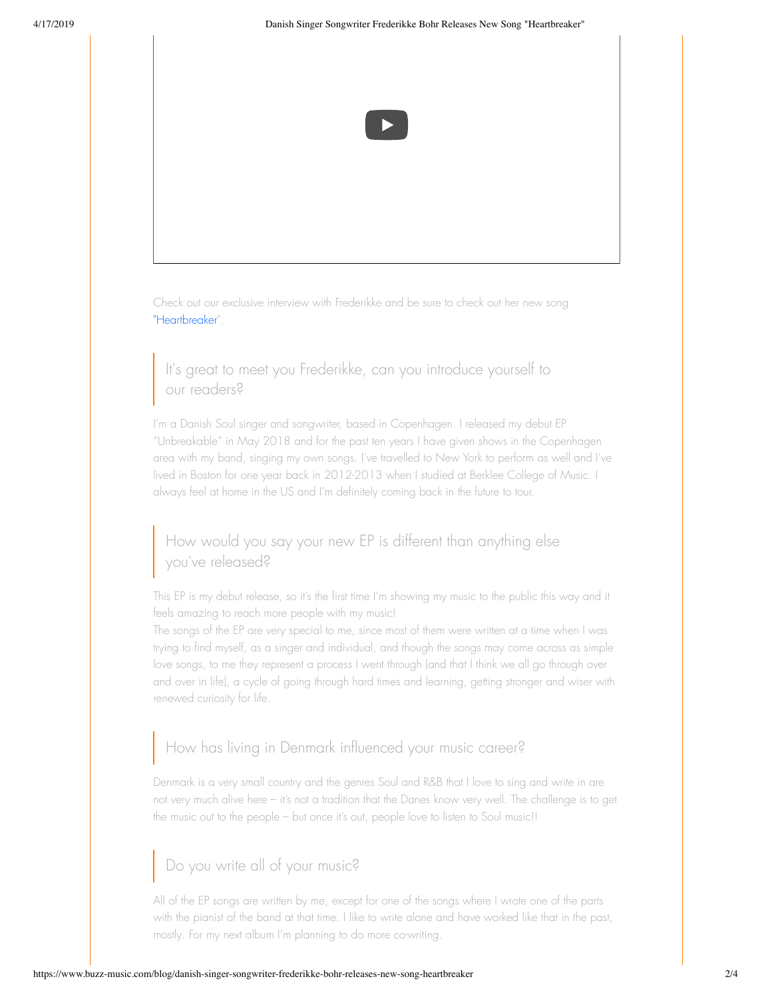

Check out our exclusive interview with Frederikke and be sure to check out her new song "Heartbreaker".

It's great to meet you Frederikke, can you introduce yourself to our readers?

I'm a Danish Soul singer and songwriter, based in Copenhagen. I released my debut EP "Unbreakable" in May 2018 and for the past ten years I have given shows in the Copenhagen area with my band, singing my own songs. I've travelled to New York to perform as well and I've lived in Boston for one year back in 2012-2013 when I studied at Berklee College of Music. I always feel at home in the US and I'm definitely coming back in the future to tour.

### How would you say your new EP is different than anything else you've released?

This EP is my debut release, so it's the first time I'm showing my music to the public this way and it feels amazing to reach more people with my music!

The songs of the EP are very special to me, since most of them were written at a time when I was trying to find myself, as a singer and individual, and though the songs may come across as simple love songs, to me they represent a process I went through (and that I think we all go through over and over in life), a cycle of going through hard times and learning, getting stronger and wiser with renewed curiosity for life.

## How has living in Denmark influenced your music career?

Denmark is a very small country and the genres Soul and R&B that I love to sing and write in are not very much alive here – it's not a tradition that the Danes know very well. The challenge is to get the music out to the people – but once it's out, people love to listen to Soul music!!

## Do you write all of your music?

All of the EP songs are written by me, except for one of the songs where I wrote one of the parts with the pianist of the band at that time. I like to write alone and have worked like that in the past, mostly. For my next album I'm planning to do more co-writing.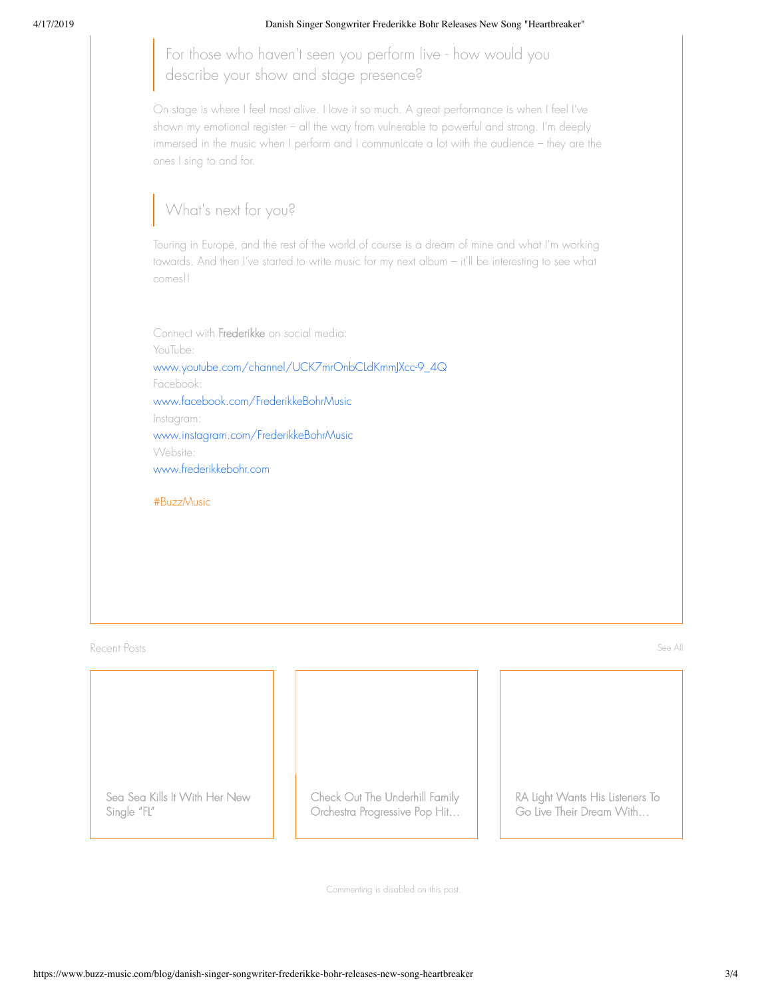#### 4/17/2019 Danish Singer Songwriter Frederikke Bohr Releases New Song "Heartbreaker"

For those who haven't seen you perform live - how would you describe your show and stage presence?

On stage is where I feel most alive. I love it so much. A great performance is when I feel I've shown my emotional register – all the way from vulnerable to powerful and strong. I'm deeply immersed in the music when I perform and I communicate a lot with the audience – they are the ones I sing to and for.

## What's next for you?

Touring in Europe, and the rest of the world of course is a dream of mine and what I'm working towards. And then I've started to write music for my next album – it'll be interesting to see what comes!!

Connect with Frederikke on social media: YouTube: www.youtube.com/channel/UCK7mrOnbCLdKmmJXcc-9\_4Q Facebook: www.facebook.com/FrederikkeBohrMusic Instagram: www.instagram.com/FrederikkeBohrMusic Website: www.frederikkebohr.com

#BuzzMusic

Recent Posts See All **Recent Posts See All Recent Posts** See All Recent Posts See All Recent Posts See All Recent

Sea Sea Kills It With Her New Single "FL"

Check Out The Underhill Family Orchestra Progressive Pop Hit…

RA Light Wants His Listeners To Go Live Their Dream With…

Commenting is disabled on this post.